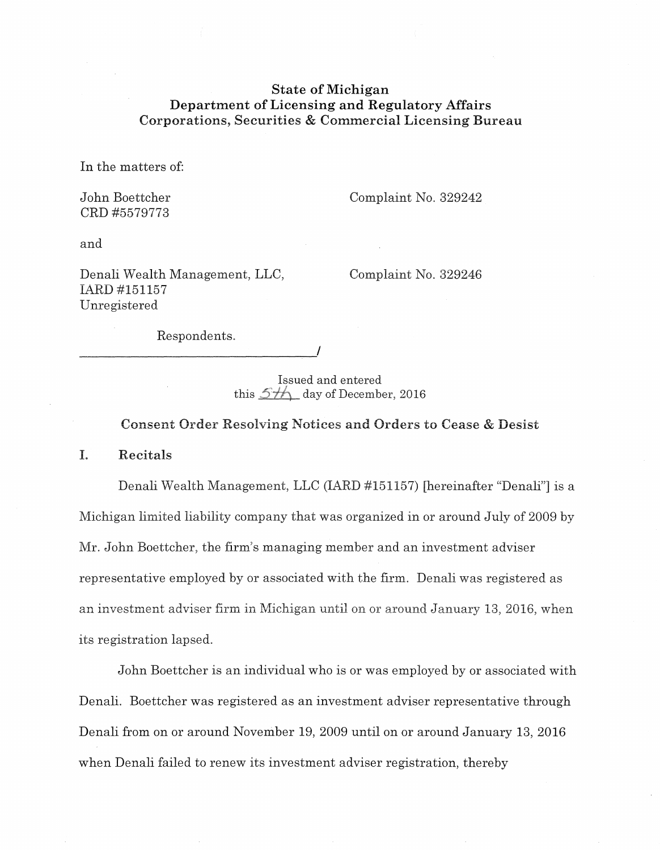# State of Michigan Department of Licensing and Regulatory Affairs Corporations, Securities & Commercial Licensing Bureau

In the matters of:

John Boettcher CRD #5579773

Complaint No, 329242

and

Denali Wealth Management, LLC, IARD #151157 Unregistered

Complaint No, 329246

Respondents,

------------------------------~'

Issued and entered this  $5\frac{1}{2}$  day of December, 2016

Consent Order Resolving Notices and Orders to Cease & Desist

I. Recitals

Denali Wealth Management, LLC (lARD #151157) [hereinafter "Denali"] is a Michigan limited liability company that was organized in or around July of 2009 by Mr. John Boettcher, the firm's managing member and an investment adviser representative employed by or associated with the firm. Denali was registered as an investment adviser firm in Michigan until on or around January 13, 2016, when its registration lapsed.

John Boettcher is an individual who is or was employed by or associated with Denali. Boettcher was registered as an investment adviser representative through Denali from on or around November 19, 2009 until on or around January 13, 2016 when Denali failed to renew its investment adviser registration, thereby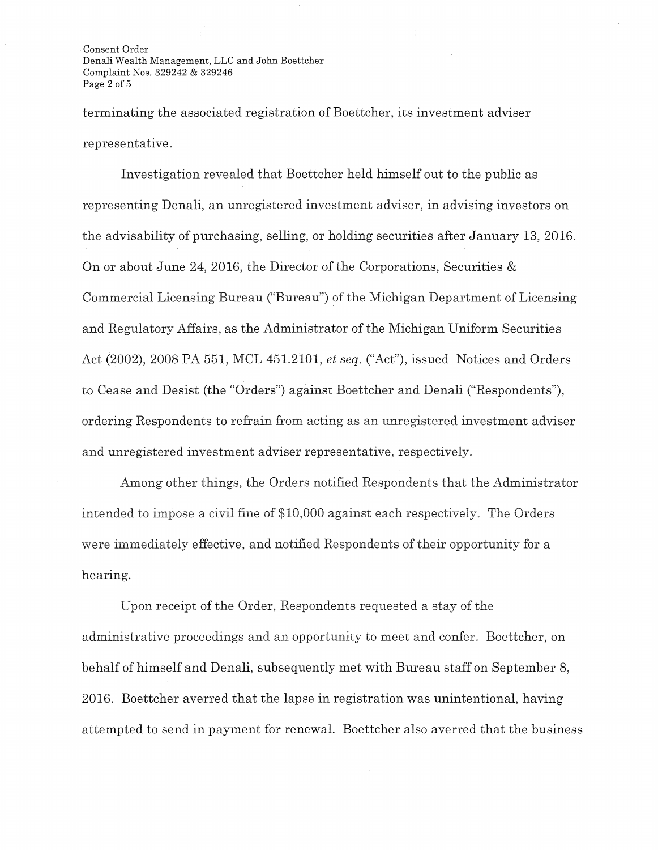Consent Order Denali Wealth Management, LLC and John Boettcher Complaint Nos. 329242 & 329246 Page 2 of 5

terminating the associated registration of Boettcher, its investment adviser representative.

Investigation revealed that Boettcher held himself out to the public as representing Denali, an unregistered investment adviser, in advising investors on the advisability of purchasing, selling, or holding securities after January 13, 2016. On or about June 24, 2016, the Director of the Corporations, Securities & Commercial Licensing Bureau ("Bureau") of the Michigan Department of Licensing and Regulatory Mfairs, as the Administrator of the Michigan Uniform Securities Act (2002), 2008 PA 551, MCL 451.2101, *et seq.* ("Act"), issued Notices and Orders to Cease and Desist (the "Orders") against Boettcher and Denali ("Respondents"), ordering Respondents to refrain from acting as an unregistered investment adviser and unregistered investment adviser representative, respectively.

Among other things, the Orders notified Respondents that the Administrator intended to impose a civil fine of \$10,000 against each respectively. The Orders were immediately effective, and notified Respondents of their opportunity for a hearing.

Upon receipt of the Order, Respondents requested a stay of the administrative proceedings and an opportunity to meet and confer. Boettcher, on behalf of himself and Denali, subsequently met with Bureau staff on September 8, 2016. Boettcher averred that the lapse in registration was unintentional, having attempted to send in payment for renewal. Boettcher also averred that the business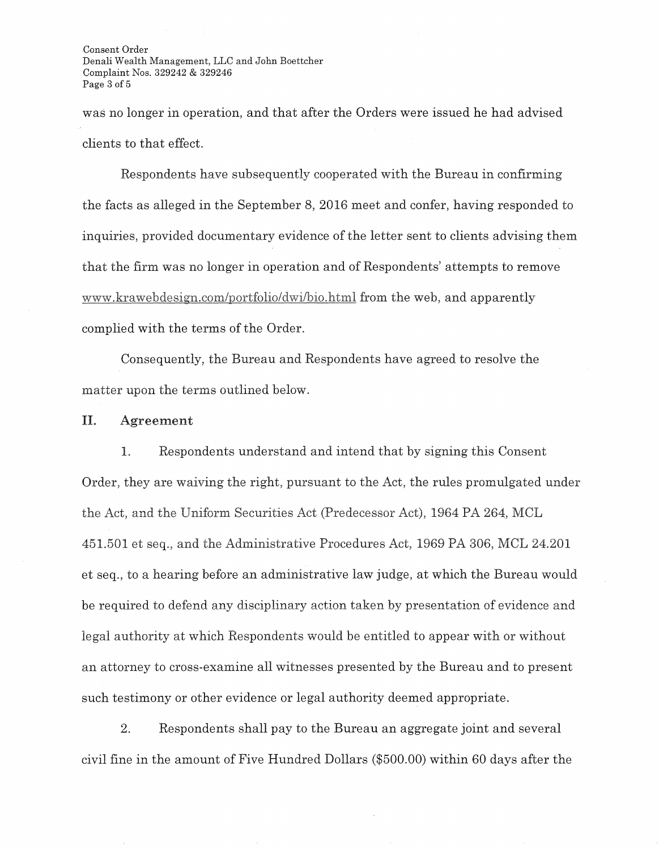Consent Order Denali Wealth Management, LLC and John Boettcher Complaint Nos. 329242 & 329246 Page 3 of 5

was no longer in operation, and that after the Orders were issued he had advised clients to that effect.

Respondents have subsequently cooperated with the Bureau in confrrming the facts as alleged in the September 8, 2016 meet and confer, having responded to inquiries, provided documentary evidence of the letter sent to clients advising them that the firm was no longer in operation and of Respondents' attempts to remove www.krawebdesign.com/portfolio/dwi/bio.html from the web, and apparently complied with the terms of the Order.

Consequently, the Bureau and Respondents have agreed to resolve the matter upon the terms outlined below.

### **II. Agreement**

1. Respondents understand and intend that by signing this Consent Order, they are waiving the right, pursuant to the Act, the rules promulgated under the Act, and the Uniform Securities Act (Predecessor Act), 1964 PA 264, MCL 451.501 et seq., and the Administrative Procedures Act, 1969 PA 306, MCL 24.201 et seq., to a hearing before an administrative law judge, at which the Bureau would be required to defend any disciplinary action taken by presentation of evidence and legal authority at which Respondents would be entitled to appear with or without an attorney to cross-examine all witnesses presented by the Bureau and to present such testimony or other evidence or legal authority deemed appropriate.

2. Respondents shall pay to the Bureau an aggregate joint and several civil fine in the amount of Five Hundred Dollars (\$500.00) within 60 days after the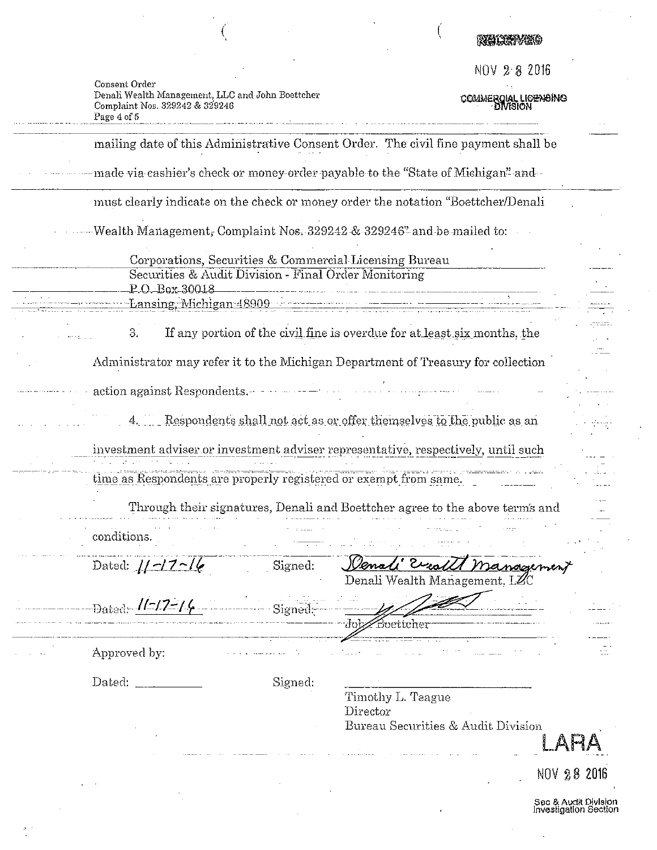# Recorded

€

NOV 282016

COMMERGIAL LICENSING

| Consent Order                                    |
|--------------------------------------------------|
| Denali Wealth Management, LLC and John Boettcher |
| Complaint Nos. 329242 & 329246                   |
| Page 4 of 5                                      |

 $\left(\right)$ 

|                                                                       |         | mailing date of this Administrative Consent Order. The civil fine payment shall be |                                               |
|-----------------------------------------------------------------------|---------|------------------------------------------------------------------------------------|-----------------------------------------------|
|                                                                       |         | made via cashier's check or money-order payable to the "State of Michigan" and-    |                                               |
|                                                                       |         | must clearly indicate on the check or money order the notation "Boettcher/Denali   |                                               |
|                                                                       |         | Wealth Management, Complaint Nos. 329242 & 329246" and be mailed to:               |                                               |
|                                                                       |         | Corporations, Securities & Commercial Licensing Bureau                             |                                               |
| Securities & Audit Division - Final Order Monitoring<br>P.O.Box-30018 |         |                                                                                    |                                               |
| Lansing, Michigan 48909                                               |         |                                                                                    |                                               |
| 3.                                                                    |         | If any portion of the civil fine is overdue for at least six months, the           |                                               |
|                                                                       |         | Administrator may refer it to the Michigan Department of Treasury for collection   |                                               |
| action against Respondents.                                           |         |                                                                                    |                                               |
|                                                                       |         | Respondents shall not act as or offer themselves to the public as an               |                                               |
|                                                                       |         | investment adviser or investment adviser representative, respectively, until such  |                                               |
| time as Respondents are properly registered or exempt from same.      |         |                                                                                    |                                               |
|                                                                       |         | Through their signatures, Denali and Boettcher agree to the above term's and       |                                               |
| conditions.                                                           |         |                                                                                    |                                               |
| Dated: $1/7/4$                                                        | Signed: | <u>Wenali</u> Evea<br>Management<br>Denali Wealth Management, LZC                  |                                               |
| Dated- $1/1 - 17 - 16$                                                | pigneu; | Buettcher                                                                          |                                               |
| Approved by:                                                          |         |                                                                                    |                                               |
| Dated:                                                                | Signed: | Timothy L. Teague<br>Director                                                      |                                               |
|                                                                       |         | Bureau Securities & Audit Division                                                 |                                               |
|                                                                       |         |                                                                                    | NOV 28 2016                                   |
|                                                                       |         |                                                                                    | Sec & Audit Division<br>Investigation Section |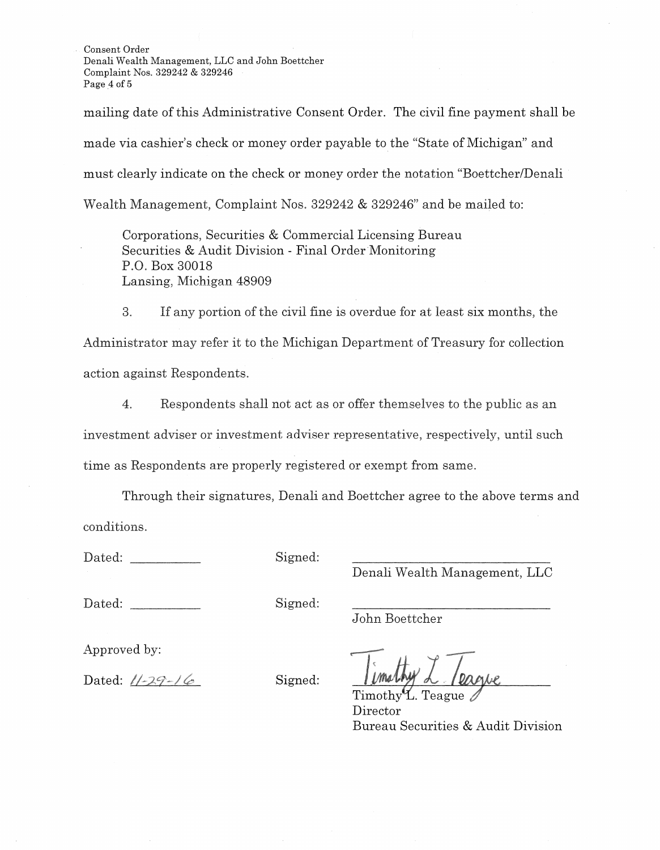Consent Order Denali Wealth Management, LLC and John Boettcher Complaint Nos. 329242 & 329246 Page 4 of 5

mailing date of this Administrative Consent Order. The civil fine payment shall be made via cashier's check or money order payable to the "State of Michigan" and must clearly indicate on the check or money order the notation "Boettcher/Denali Wealth Management, Complaint Nos. 329242 & 329246" and be mailed to:

Corporations, Securities & Commercial Licensing Bureau Securities & Audit Division - Final Order Monitoring P.O. Box 30018 Lansing, Michigan 48909

3. If any portion of the civil fine is overdue for at least six months, the Administrator may refer it to the Michigan Department of Treasury for collection action against Respondents.

4. Respondents shall not act as or offer themselves to the public as an investment adviser or investment adviser representative, respectively, until such time as Respondents are properly registered or exempt from same.

Through their signatures, Denali and Boettcher agree to the above terms and conditions.

Dated: Signed:

Denali Wealth Management, LLC

Dated: Signed:

John Boettcher

Approved by:

Dated:  $1/29-16$  Signed:

 $Timothy^{\mathcal{U}}$ . Teague Director Bureau Securities & Audit Division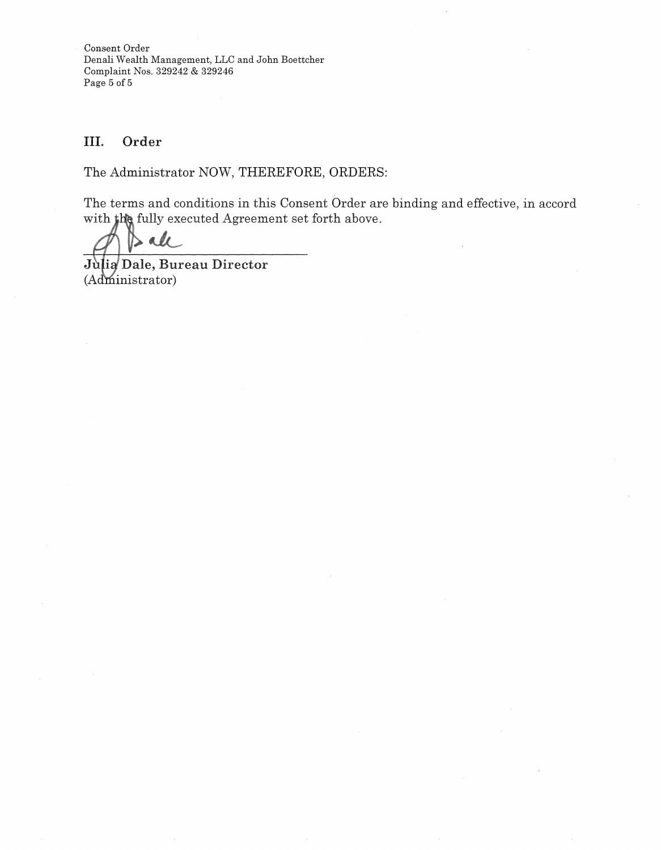Consent Order Denali Wealth Management, LLC and John Boettcher Complaint Nos. 329242 & 329246 Page 5 of 5

# III. Order

The Administrator NOW, THEREFORE, ORDERS:

The terms and conditions in this Consent Order are binding and effective, in accord with the fully executed Agreement set forth above.

 $\mathcal{L}$ 

Julia Dale, Bureau Director (Administrator)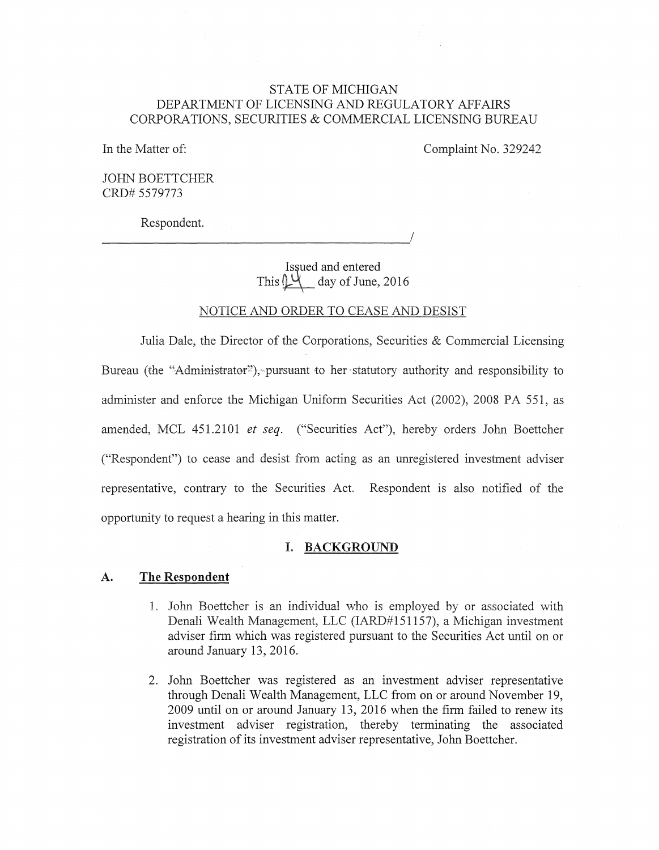# **STATE OF MICHIGAN** DEPARTMENT OF LICENSING AND REGULATORY AFFAIRS CORPORATIONS, SECURITIES & COMMERCIAL LICENSING BUREAU

In the Matter of:

Complaint No. 329242

**JOHN BOETTCHER** CRD# 5579773

Respondent.

Issued and entered This  $\downarrow\downarrow$  day of June, 2016

### NOTICE AND ORDER TO CEASE AND DESIST

Julia Dale, the Director of the Corporations, Securities & Commercial Licensing Bureau (the "Administrator"), pursuant to her statutory authority and responsibility to administer and enforce the Michigan Uniform Securities Act (2002), 2008 PA 551, as amended, MCL 451.2101 et seq. ("Securities Act"), hereby orders John Boettcher ("Respondent") to cease and desist from acting as an unregistered investment adviser representative, contrary to the Securities Act. Respondent is also notified of the opportunity to request a hearing in this matter.

### I. BACKGROUND

#### $\mathbf{A}$ . The Respondent

- 1. John Boettcher is an individual who is employed by or associated with Denali Wealth Management, LLC (IARD#151157), a Michigan investment adviser firm which was registered pursuant to the Securities Act until on or around January 13, 2016.
- 2. John Boettcher was registered as an investment adviser representative through Denali Wealth Management, LLC from on or around November 19, 2009 until on or around January 13, 2016 when the firm failed to renew its investment adviser registration, thereby terminating the associated registration of its investment adviser representative, John Boettcher.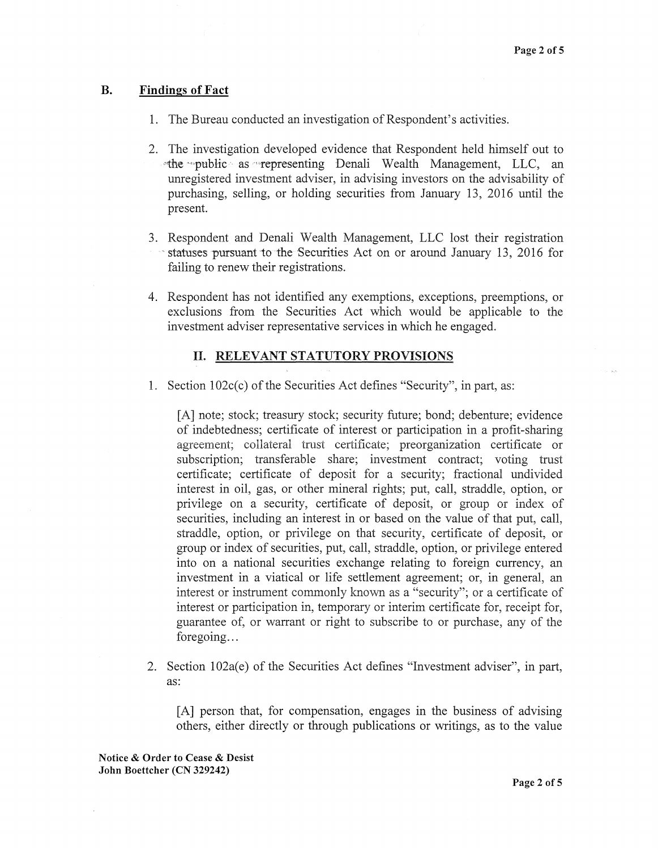## **B. Findings of Fact**

- 1. The Bureau conducted an investigation of Respondent's activities.
- 2. The investigation developed evidence that Respondent held himself out to **"the public as representing Denali Wealth Management, LLC, an** unregistered investment adviser, in advising investors on the advisability of purchasing, selling, or holding securities from January 13, 2016 until the present.
- 3. Respondent and Denali Wealth Management, LLC lost their registration ·statuses pursuant to the Securities Act on or around January 13, 2016 for failing to renew their registrations.
- 4. Respondent has not identified any exemptions, exceptions, preemptions, or exclusions from the Securities Act which would be applicable to the investment adviser representative services in which he engaged.

### II. RELEVANT STATUTORY PROVISIONS

1. Section 102c(c) of the Securities Act defines "Security", in part, as:

[A] note; stock; treasury stock; security future; bond; debenture; evidence of indebtedness; certificate of interest or participation in a profit-sharing agreement; collateral tmst certificate; preorganization certificate or subscription; transferable share; investment contract; voting trust certificate; certificate of deposit for a security; fractional undivided interest in oil, gas, or other mineral rights; put, call, straddle, option, or privilege on a security, certificate of deposit, or group or index of securities, including an interest in or based on the value of that put, call, straddle, option, or privilege on that security, certificate of deposit, or group or index of securities, put, call, straddle, option, or privilege entered into on a national securities exchange relating to foreign currency, an investment in a viatical or life settlement agreement; or, in general, an interest or instrument commonly known as a "security"; or a certificate of interest or participation in, temporary or interim certificate for, receipt for, guarantee of, or warrant or right to subscribe to or purchase, any of the foregoing...

2. Section 102a(e) of the Securities Act defines "Investment adviser", in part, as:

[A] person that, for compensation, engages in the business of advising others, either directly or through publications or writings, as to the value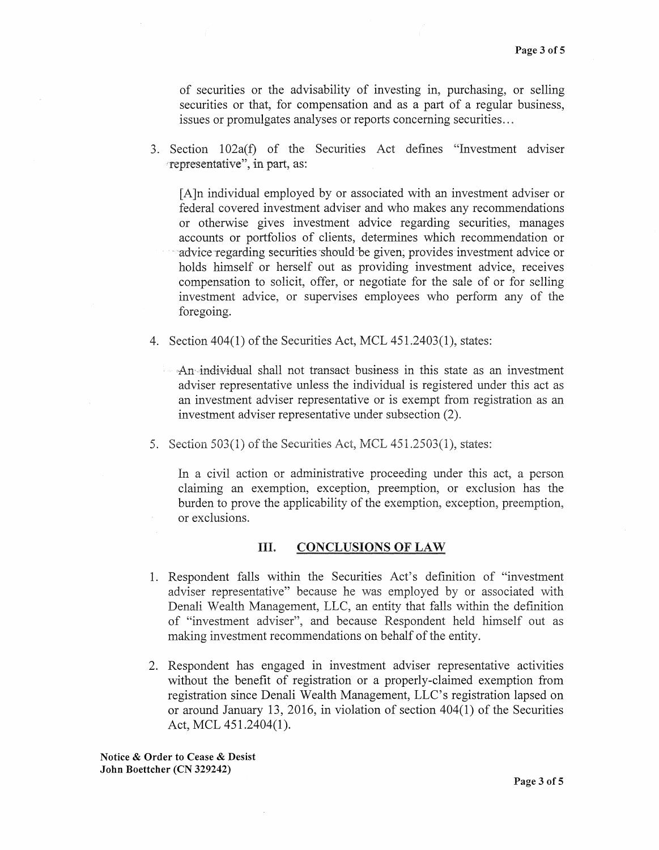of securities or the advisability of investing in, purchasing, or selling securities or that, for compensation and as a part of a regular business, issues or promulgates analyses or reports concerning securities ...

3. Section 102a(f) of the Securities Act defines "Investment adviser rrepresentative", in part, as:

[A]n individual employed by or associated with an investment adviser or federal covered investment adviser and who makes any recommendations or otherwise gives investment advice regarding securities, manages accounts or portfolios of clients, determines which recommendation or advice regarding securities should be given, provides investment advice or holds himself or herself out as providing investment advice, receives compensation to solicit, offer, or negotiate for the sale of or for selling investment advice, or supervises employees who perform any of the foregoing.

4. Section  $404(1)$  of the Securities Act, MCL  $451.2403(1)$ , states:

 $\rightarrow$ An-individual shall not transact business in this state as an investment adviser representative unless the individual is registered under this act as an investment adviser representative or is exempt from registration as an investment adviser representative under subsection (2).

5. Section  $503(1)$  of the Securities Act, MCL  $451.2503(1)$ , states:

In a civil action or administrative proceeding under this act, a person claiming an exemption, exception, preemption, or exclusion has the burden to prove the applicability of the exemption, exception, preemption, or exclusions.

### III. CONCLUSIONS OF LAW

- 1. Respondent falls within the Securities Act's definition of "investment adviser representative" because he was employed by or associated with Denali Wealth Management, LLC, an entity that falls within the definition of "investment adviser", and because Respondent held himself out as making investment recommendations on behalf of the entity.
- 2. Respondent has engaged in investment adviser representative activities without the benefit of registration or a properly-claimed exemption from registration since Denali Wealth Management, LLC's registration lapsed on or around January 13, 2016, in violation of section 404(1) of the Securities Act, MCL 451.2404(1).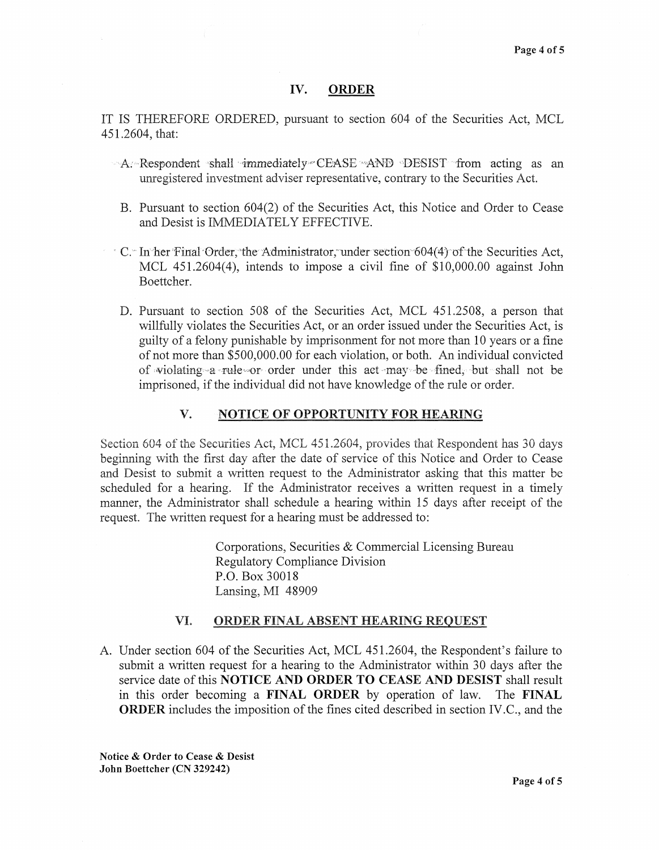### IV. ORDER

IT IS THEREFORE ORDERED, pursuant to section 604 of the Securities Act, MCL 451.2604, that:

- $-A$ : Respondent shall immediately CEASE AND DESIST from acting as an unregistered investment adviser representative, contrary to the Securities Act.
- B. Pursuant to section 604(2) of the Securities Act, this Notice and Order to Cease and Desist is IMMEDIATELY EFFECTIVE.
- · C. In her Final Order, the Administrator, under section 604(4) of the Securities Act, MCL 451.2604(4), intends to impose a civil fine of \$10,000.00 against John Boettcher.
- D. Pursuant to section 508 of the Securities Act, MCL 451.2508, a person that willfully violates the Securities Act, or an order issued under the Securities Act, is guilty of a felony punishable by imprisonment for not more than 10 years or a fine of not more than \$500,000.00 for each violation, or both. An individual convicted of violating-a rule-or- order under this act may be fined, but shall not be imprisoned, if the individual did not have knowledge of the rule or order.

## V. NOTICE OF OPPORTUNITY FOR HEARING

Section 604 of the Securities Act, MCL 451.2604, provides that Respondent has 30 days beginning with the first day after the date of service of this Notice and Order to Cease and Desist to submit a written request to the Administrator asking that this matter be scheduled for a hearing. If the Administrator receives a written request in a timely manner, the Administrator shall schedule a hearing within 15 days after receipt of the request. The written request for a hearing must be addressed to:

> Corporations, Securities & Commercial Licensing Bureau Regulatory Compliance Division P.O. Box 30018 Lansing, MI 48909

### VI. ORDER FINAL ABSENT HEARING REQUEST

A. Under section 604 of the Securities Act, MCL 451.2604, the Respondent's failure to submit a written request for a hearing to the Administrator within 30 days after the service date of this NOTICE AND ORDER TO CEASE AND DESIST shall result in this order becoming a FINAL ORDER by operation of law. The FINAL ORDER includes the imposition of the fines cited described in section IV.C., and the